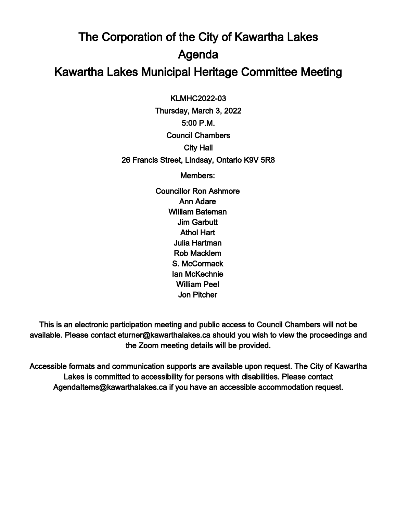## The Corporation of the City of Kawartha Lakes Agenda Kawartha Lakes Municipal Heritage Committee Meeting

 $\overline{a}$ KLMHC2022-03

Thursday, March 3, 2022 5:00 P.M. Council Chambers City Hall 26 Francis Street, Lindsay, Ontario K9V 5R8

Members:

Councillor Ron Ashmore Ann Adare William Bateman Jim Garbutt Athol Hart Julia Hartman Rob Macklem S. McCormack Ian McKechnie William Peel Jon Pitcher

This is an electronic participation meeting and public access to Council Chambers will not be available. Please contact eturner@kawarthalakes.ca should you wish to view the proceedings and the Zoom meeting details will be provided.

Accessible formats and communication supports are available upon request. The City of Kawartha Lakes is committed to accessibility for persons with disabilities. Please contact AgendaItems@kawarthalakes.ca if you have an accessible accommodation request.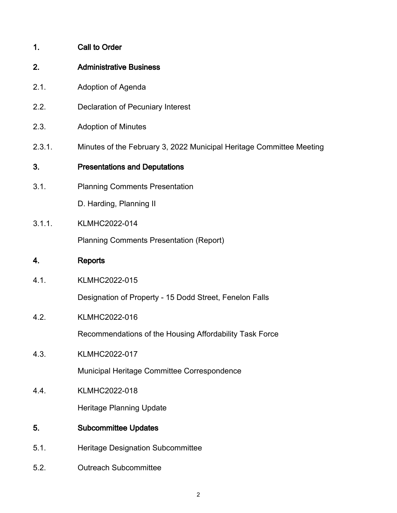- 2. Administrative Business
- 2.1. Adoption of Agenda
- 2.2. Declaration of Pecuniary Interest
- 2.3. Adoption of Minutes
- 2.3.1. Minutes of the February 3, 2022 Municipal Heritage Committee Meeting
- 3. Presentations and Deputations
- 3.1. Planning Comments Presentation

D. Harding, Planning II

3.1.1. KLMHC2022-014

Planning Comments Presentation (Report)

- 4. Reports
- 4.1. KLMHC2022-015

Designation of Property - 15 Dodd Street, Fenelon Falls

4.2. KLMHC2022-016

Recommendations of the Housing Affordability Task Force

4.3. KLMHC2022-017

Municipal Heritage Committee Correspondence

4.4. KLMHC2022-018

Heritage Planning Update

- 5. Subcommittee Updates
- 5.1. Heritage Designation Subcommittee
- 5.2. Outreach Subcommittee